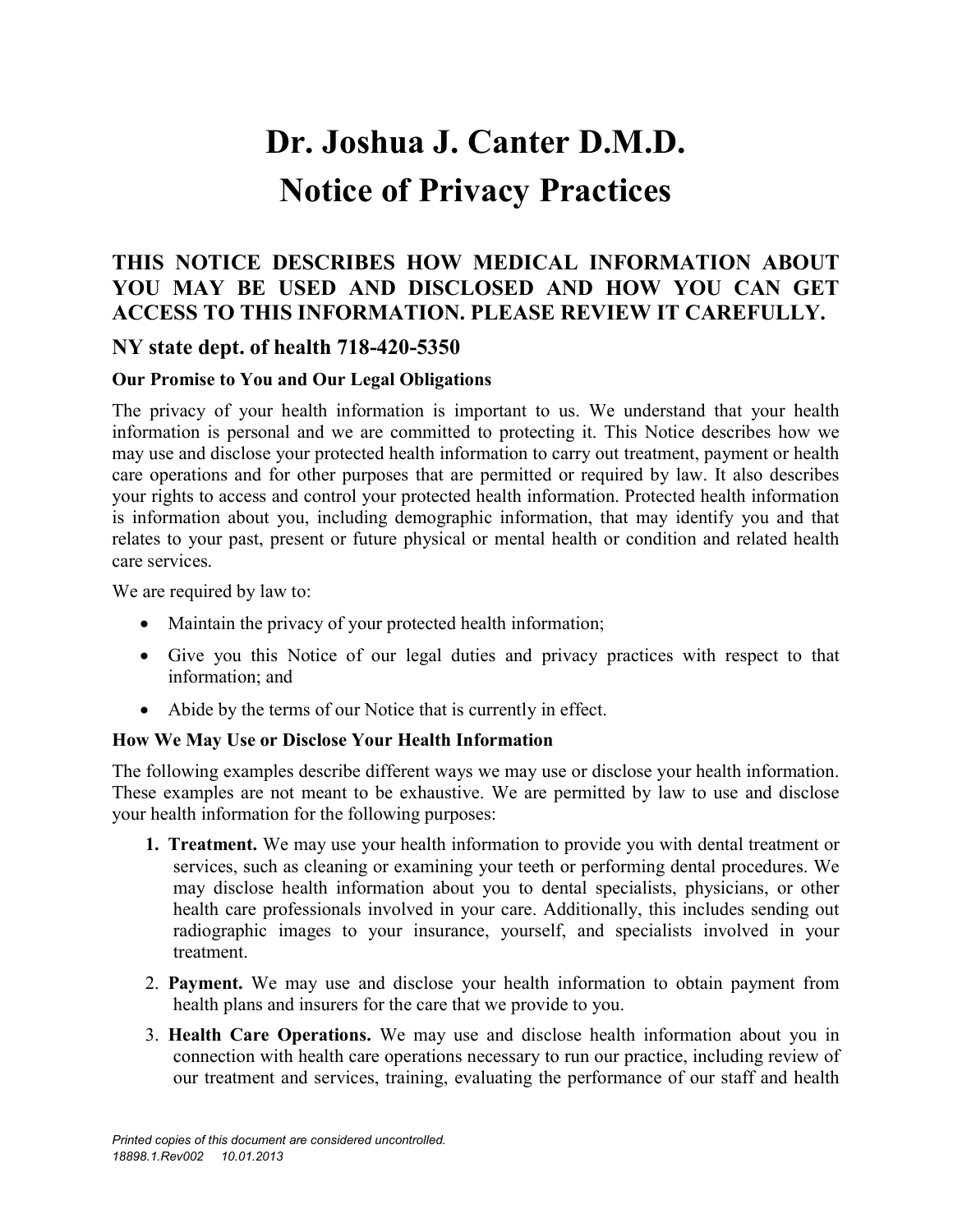# Dr. Joshua J. Canter D.M.D. Notice of Privacy Practices

## THIS NOTICE DESCRIBES HOW MEDICAL INFORMATION ABOUT YOU MAY BE USED AND DISCLOSED AND HOW YOU CAN GET ACCESS TO THIS INFORMATION. PLEASE REVIEW IT CAREFULLY.

### NY state dept. of health 718-420-5350

#### Our Promise to You and Our Legal Obligations

The privacy of your health information is important to us. We understand that your health information is personal and we are committed to protecting it. This Notice describes how we may use and disclose your protected health information to carry out treatment, payment or health care operations and for other purposes that are permitted or required by law. It also describes your rights to access and control your protected health information. Protected health information is information about you, including demographic information, that may identify you and that relates to your past, present or future physical or mental health or condition and related health care services.

We are required by law to:

- Maintain the privacy of your protected health information;
- Give you this Notice of our legal duties and privacy practices with respect to that information; and
- Abide by the terms of our Notice that is currently in effect.

#### How We May Use or Disclose Your Health Information

The following examples describe different ways we may use or disclose your health information. These examples are not meant to be exhaustive. We are permitted by law to use and disclose your health information for the following purposes:

- 1. Treatment. We may use your health information to provide you with dental treatment or services, such as cleaning or examining your teeth or performing dental procedures. We may disclose health information about you to dental specialists, physicians, or other health care professionals involved in your care. Additionally, this includes sending out radiographic images to your insurance, yourself, and specialists involved in your treatment.
- 2. Payment. We may use and disclose your health information to obtain payment from health plans and insurers for the care that we provide to you.
- 3. Health Care Operations. We may use and disclose health information about you in connection with health care operations necessary to run our practice, including review of our treatment and services, training, evaluating the performance of our staff and health